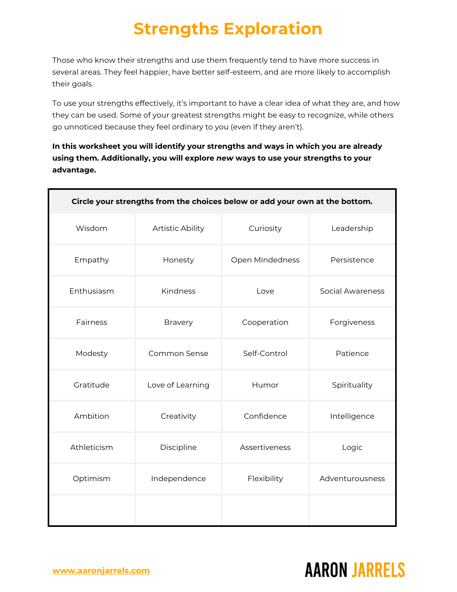Those who know their strengths and use them frequently tend to have more success in several areas. They feel happier, have better self-esteem, and are more likely to accomplish their goals.

To use your strengths effectively, it's important to have a clear idea of what they are, and how they can be used. Some of your greatest strengths might be easy to recognize, while others go unnoticed because they feel ordinary to you (even if they aren't).

**In this worksheet you will identify your strengths and ways in which you are already using them. Additionally, you will explore** *new* **ways to use your strengths to your advantage.**

| Circle your strengths from the choices below or add your own at the bottom. |                     |                 |                         |
|-----------------------------------------------------------------------------|---------------------|-----------------|-------------------------|
| Wisdom                                                                      | Artistic Ability    | Curiosity       | Leadership              |
| Empathy                                                                     | Honesty             | Open Mindedness | Persistence             |
| Enthusiasm                                                                  | Kindness            | Love            | <b>Social Awareness</b> |
| Fairness                                                                    | <b>Bravery</b>      | Cooperation     | Forgiveness             |
| Modesty                                                                     | <b>Common Sense</b> | Self-Control    | Patience                |
| Gratitude                                                                   | Love of Learning    | Humor           | Spirituality            |
| Ambition                                                                    | Creativity          | Confidence      | Intelligence            |
| Athleticism                                                                 | Discipline          | Assertiveness   | Logic                   |
| Optimism                                                                    | Independence        | Flexibility     | Adventurousness         |
|                                                                             |                     |                 |                         |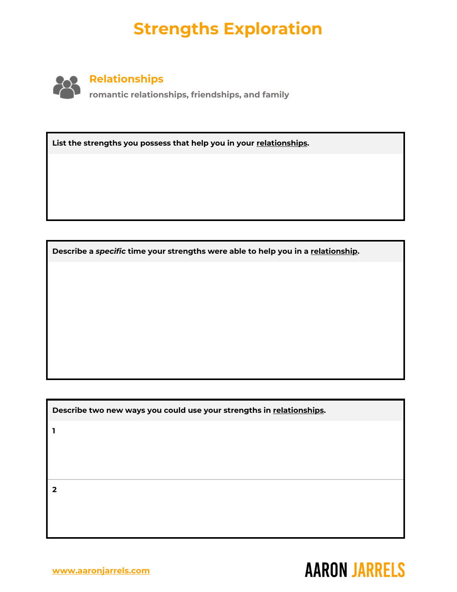

**List the strengths you possess that help you in your relationships.**

**Describe a** *specific* **time your strengths were able to help you in a relationship.**

**Describe two new ways you could use your strengths in relationships.**

**1**

**2**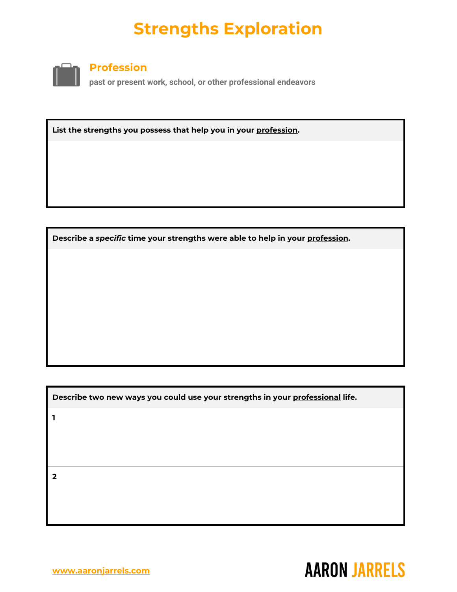

#### **Profession**

**past or present work, school, or other professional endeavors**

**List the strengths you possess that help you in your profession.**

**Describe a** *specific* **time your strengths were able to help in your profession.**

**Describe two new ways you could use your strengths in your professional life.**

**1**

**2**